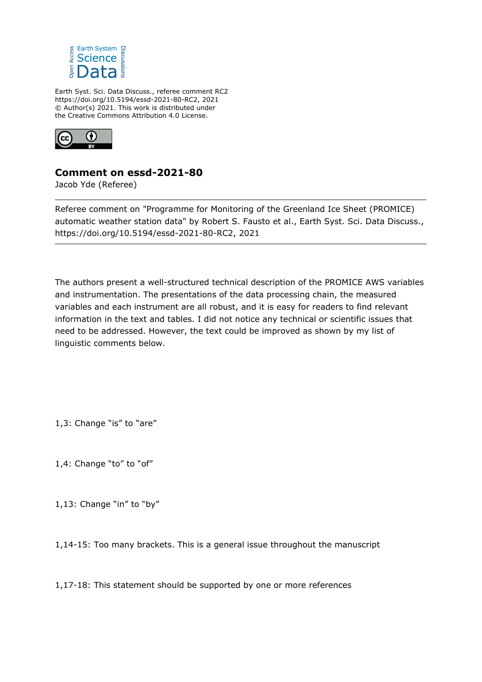

Earth Syst. Sci. Data Discuss., referee comment RC2 https://doi.org/10.5194/essd-2021-80-RC2, 2021 © Author(s) 2021. This work is distributed under the Creative Commons Attribution 4.0 License.



## **Comment on essd-2021-80**

Jacob Yde (Referee)

Referee comment on "Programme for Monitoring of the Greenland Ice Sheet (PROMICE) automatic weather station data" by Robert S. Fausto et al., Earth Syst. Sci. Data Discuss., https://doi.org/10.5194/essd-2021-80-RC2, 2021

The authors present a well-structured technical description of the PROMICE AWS variables and instrumentation. The presentations of the data processing chain, the measured variables and each instrument are all robust, and it is easy for readers to find relevant information in the text and tables. I did not notice any technical or scientific issues that need to be addressed. However, the text could be improved as shown by my list of linguistic comments below.

1,3: Change "is" to "are"

1,4: Change "to" to "of"

1,13: Change "in" to "by"

1,14-15: Too many brackets. This is a general issue throughout the manuscript

1,17-18: This statement should be supported by one or more references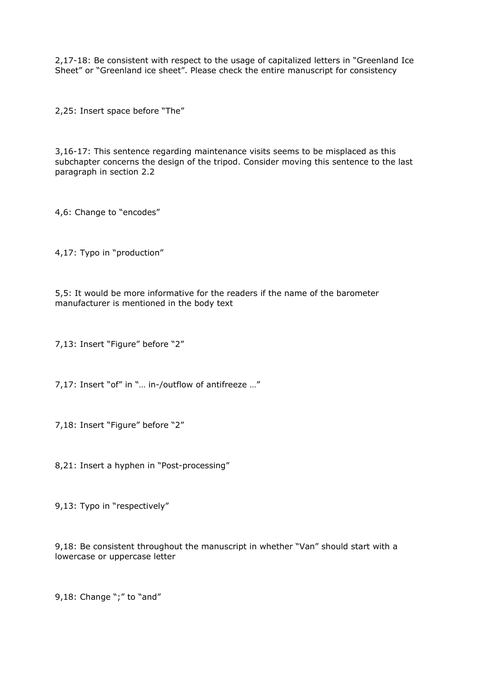2,17-18: Be consistent with respect to the usage of capitalized letters in "Greenland Ice Sheet" or "Greenland ice sheet". Please check the entire manuscript for consistency

2,25: Insert space before "The"

3,16-17: This sentence regarding maintenance visits seems to be misplaced as this subchapter concerns the design of the tripod. Consider moving this sentence to the last paragraph in section 2.2

4,6: Change to "encodes"

4,17: Typo in "production"

5,5: It would be more informative for the readers if the name of the barometer manufacturer is mentioned in the body text

7,13: Insert "Figure" before "2"

7,17: Insert "of" in "… in-/outflow of antifreeze …"

7,18: Insert "Figure" before "2"

8,21: Insert a hyphen in "Post-processing"

9,13: Typo in "respectively"

9,18: Be consistent throughout the manuscript in whether "Van" should start with a lowercase or uppercase letter

9,18: Change ";" to "and"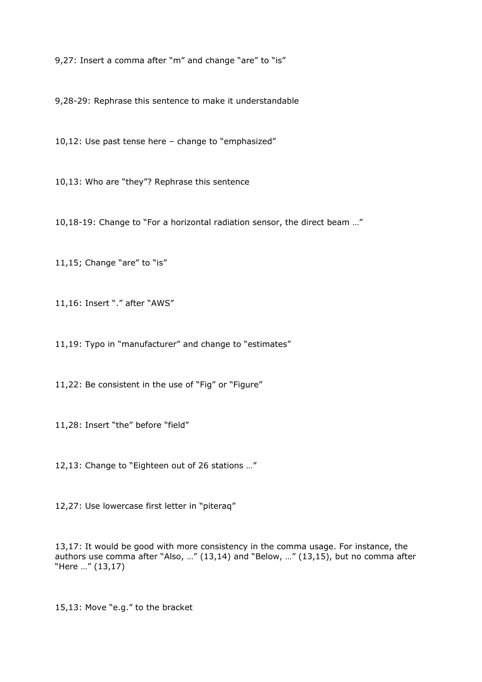9,27: Insert a comma after "m" and change "are" to "is"

9,28-29: Rephrase this sentence to make it understandable

10,12: Use past tense here – change to "emphasized"

10,13: Who are "they"? Rephrase this sentence

10,18-19: Change to "For a horizontal radiation sensor, the direct beam …"

11,15; Change "are" to "is"

11,16: Insert "." after "AWS"

11,19: Typo in "manufacturer" and change to "estimates"

11,22: Be consistent in the use of "Fig" or "Figure"

11,28: Insert "the" before "field"

12,13: Change to "Eighteen out of 26 stations …"

12,27: Use lowercase first letter in "piteraq"

13,17: It would be good with more consistency in the comma usage. For instance, the authors use comma after "Also, …" (13,14) and "Below, …" (13,15), but no comma after "Here …" (13,17)

15,13: Move "e.g." to the bracket